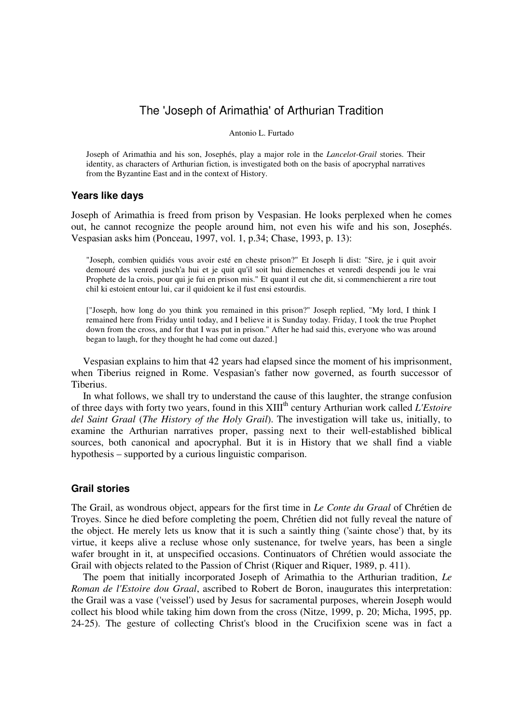# The 'Joseph of Arimathia' of Arthurian Tradition

#### Antonio L. Furtado

Joseph of Arimathia and his son, Josephés, play a major role in the *Lancelot-Grail* stories. Their identity, as characters of Arthurian fiction, is investigated both on the basis of apocryphal narratives from the Byzantine East and in the context of History.

### **Years like days**

Joseph of Arimathia is freed from prison by Vespasian. He looks perplexed when he comes out, he cannot recognize the people around him, not even his wife and his son, Josephés. Vespasian asks him (Ponceau, 1997, vol. 1, p.34; Chase, 1993, p. 13):

"Joseph, combien quidiés vous avoir esté en cheste prison?" Et Joseph li dist: "Sire, je i quit avoir demouré des venredi jusch'a hui et je quit qu'il soit hui diemenches et venredi despendi jou le vrai Prophete de la crois, pour qui je fui en prison mis." Et quant il eut che dit, si commenchierent a rire tout chil ki estoient entour lui, car il quidoient ke il fust ensi estourdis.

["Joseph, how long do you think you remained in this prison?" Joseph replied, "My lord, I think I remained here from Friday until today, and I believe it is Sunday today. Friday, I took the true Prophet down from the cross, and for that I was put in prison." After he had said this, everyone who was around began to laugh, for they thought he had come out dazed.]

 Vespasian explains to him that 42 years had elapsed since the moment of his imprisonment, when Tiberius reigned in Rome. Vespasian's father now governed, as fourth successor of Tiberius.

 In what follows, we shall try to understand the cause of this laughter, the strange confusion of three days with forty two years, found in this XIII<sup>th</sup> century Arthurian work called *L'Estoire del Saint Graal* (*The History of the Holy Grail*). The investigation will take us, initially, to examine the Arthurian narratives proper, passing next to their well-established biblical sources, both canonical and apocryphal. But it is in History that we shall find a viable hypothesis – supported by a curious linguistic comparison.

# **Grail stories**

The Grail, as wondrous object, appears for the first time in *Le Conte du Graal* of Chrétien de Troyes. Since he died before completing the poem, Chrétien did not fully reveal the nature of the object. He merely lets us know that it is such a saintly thing ('sainte chose') that, by its virtue, it keeps alive a recluse whose only sustenance, for twelve years, has been a single wafer brought in it, at unspecified occasions. Continuators of Chrétien would associate the Grail with objects related to the Passion of Christ (Riquer and Riquer, 1989, p. 411).

 The poem that initially incorporated Joseph of Arimathia to the Arthurian tradition, *Le Roman de l'Estoire dou Graal*, ascribed to Robert de Boron, inaugurates this interpretation: the Grail was a vase ('veissel') used by Jesus for sacramental purposes, wherein Joseph would collect his blood while taking him down from the cross (Nitze, 1999, p. 20; Micha, 1995, pp. 24-25). The gesture of collecting Christ's blood in the Crucifixion scene was in fact a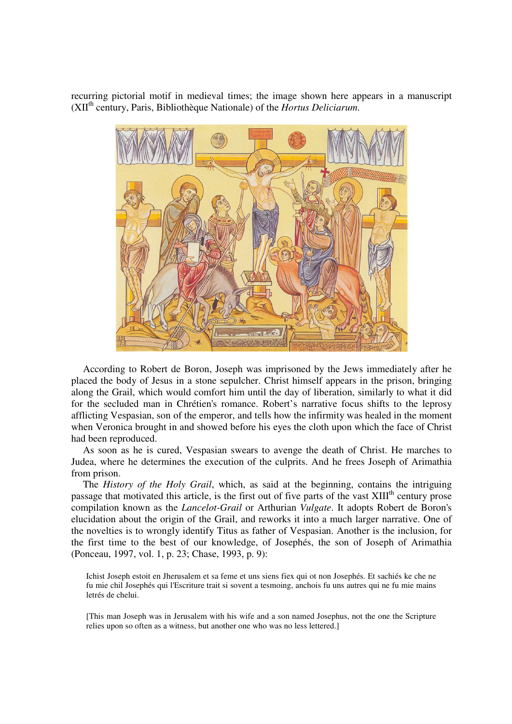recurring pictorial motif in medieval times; the image shown here appears in a manuscript (XIIth century, Paris, Bibliothèque Nationale) of the *Hortus Deliciarum*.



 According to Robert de Boron, Joseph was imprisoned by the Jews immediately after he placed the body of Jesus in a stone sepulcher. Christ himself appears in the prison, bringing along the Grail, which would comfort him until the day of liberation, similarly to what it did for the secluded man in Chrétien's romance. Robert's narrative focus shifts to the leprosy afflicting Vespasian, son of the emperor, and tells how the infirmity was healed in the moment when Veronica brought in and showed before his eyes the cloth upon which the face of Christ had been reproduced.

 As soon as he is cured, Vespasian swears to avenge the death of Christ. He marches to Judea, where he determines the execution of the culprits. And he frees Joseph of Arimathia from prison.

 The *History of the Holy Grail*, which, as said at the beginning, contains the intriguing passage that motivated this article, is the first out of five parts of the vast  $XIII<sup>th</sup>$  century prose compilation known as the *Lancelot-Grail* or Arthurian *Vulgate*. It adopts Robert de Boron's elucidation about the origin of the Grail, and reworks it into a much larger narrative. One of the novelties is to wrongly identify Titus as father of Vespasian. Another is the inclusion, for the first time to the best of our knowledge, of Josephés, the son of Joseph of Arimathia (Ponceau, 1997, vol. 1, p. 23; Chase, 1993, p. 9):

Ichist Joseph estoit en Jherusalem et sa feme et uns siens fiex qui ot non Josephés. Et sachiés ke che ne fu mie chil Josephés qui l'Escriture trait si sovent a tesmoing, anchois fu uns autres qui ne fu mie mains letrés de chelui.

[This man Joseph was in Jerusalem with his wife and a son named Josephus, not the one the Scripture relies upon so often as a witness, but another one who was no less lettered.]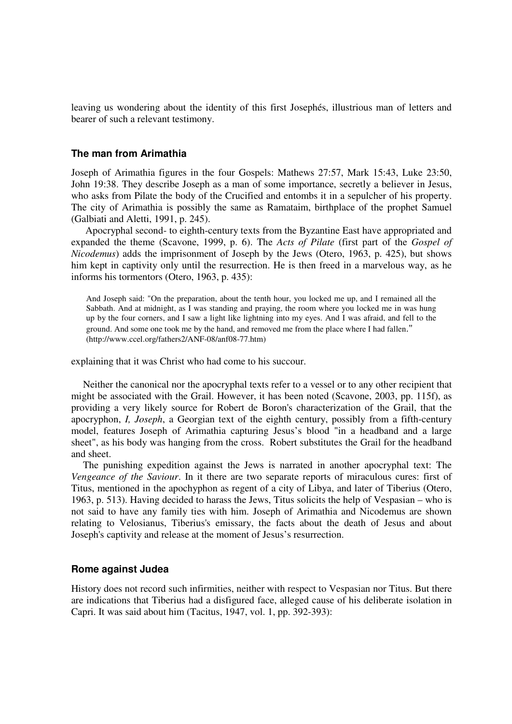leaving us wondering about the identity of this first Josephés, illustrious man of letters and bearer of such a relevant testimony.

### **The man from Arimathia**

Joseph of Arimathia figures in the four Gospels: Mathews 27:57, Mark 15:43, Luke 23:50, John 19:38. They describe Joseph as a man of some importance, secretly a believer in Jesus, who asks from Pilate the body of the Crucified and entombs it in a sepulcher of his property. The city of Arimathia is possibly the same as Ramataim, birthplace of the prophet Samuel (Galbiati and Aletti, 1991, p. 245).

 Apocryphal second- to eighth-century texts from the Byzantine East have appropriated and expanded the theme (Scavone, 1999, p. 6). The *Acts of Pilate* (first part of the *Gospel of Nicodemus*) adds the imprisonment of Joseph by the Jews (Otero, 1963, p. 425), but shows him kept in captivity only until the resurrection. He is then freed in a marvelous way, as he informs his tormentors (Otero, 1963, p. 435):

And Joseph said: "On the preparation, about the tenth hour, you locked me up, and I remained all the Sabbath. And at midnight, as I was standing and praying, the room where you locked me in was hung up by the four corners, and I saw a light like lightning into my eyes. And I was afraid, and fell to the ground. And some one took me by the hand, and removed me from the place where I had fallen." (http://www.ccel.org/fathers2/ANF-08/anf08-77.htm)

explaining that it was Christ who had come to his succour.

 Neither the canonical nor the apocryphal texts refer to a vessel or to any other recipient that might be associated with the Grail. However, it has been noted (Scavone, 2003, pp. 115f), as providing a very likely source for Robert de Boron's characterization of the Grail, that the apocryphon, *I, Joseph*, a Georgian text of the eighth century, possibly from a fifth-century model, features Joseph of Arimathia capturing Jesus's blood "in a headband and a large sheet", as his body was hanging from the cross. Robert substitutes the Grail for the headband and sheet.

 The punishing expedition against the Jews is narrated in another apocryphal text: The *Vengeance of the Saviour*. In it there are two separate reports of miraculous cures: first of Titus, mentioned in the apochyphon as regent of a city of Libya, and later of Tiberius (Otero, 1963, p. 513). Having decided to harass the Jews, Titus solicits the help of Vespasian – who is not said to have any family ties with him. Joseph of Arimathia and Nicodemus are shown relating to Velosianus, Tiberius's emissary, the facts about the death of Jesus and about Joseph's captivity and release at the moment of Jesus's resurrection.

### **Rome against Judea**

History does not record such infirmities, neither with respect to Vespasian nor Titus. But there are indications that Tiberius had a disfigured face, alleged cause of his deliberate isolation in Capri. It was said about him (Tacitus, 1947, vol. 1, pp. 392-393):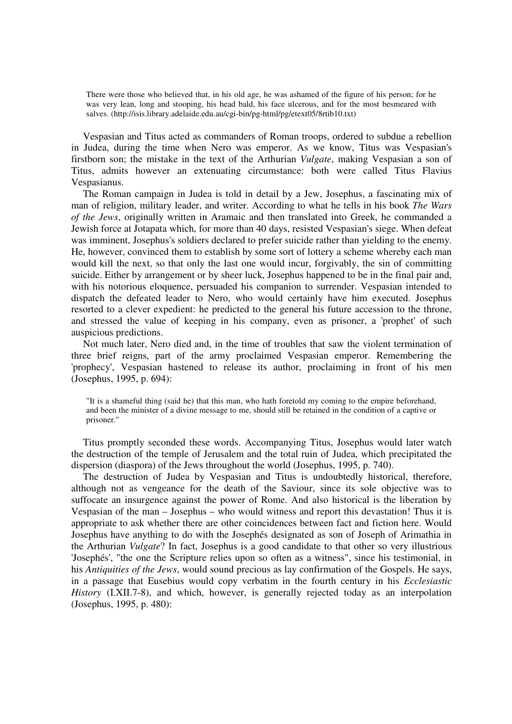There were those who believed that, in his old age, he was ashamed of the figure of his person; for he was very lean, long and stooping, his head bald, his face ulcerous, and for the most besmeared with salves. (http://isis.library.adelaide.edu.au/cgi-bin/pg-html/pg/etext05/8rtib10.txt)

 Vespasian and Titus acted as commanders of Roman troops, ordered to subdue a rebellion in Judea, during the time when Nero was emperor. As we know, Titus was Vespasian's firstborn son; the mistake in the text of the Arthurian *Vulgate*, making Vespasian a son of Titus, admits however an extenuating circumstance: both were called Titus Flavius Vespasianus.

 The Roman campaign in Judea is told in detail by a Jew, Josephus, a fascinating mix of man of religion, military leader, and writer. According to what he tells in his book *The Wars of the Jews*, originally written in Aramaic and then translated into Greek, he commanded a Jewish force at Jotapata which, for more than 40 days, resisted Vespasian's siege. When defeat was imminent, Josephus's soldiers declared to prefer suicide rather than yielding to the enemy. He, however, convinced them to establish by some sort of lottery a scheme whereby each man would kill the next, so that only the last one would incur, forgivably, the sin of committing suicide. Either by arrangement or by sheer luck, Josephus happened to be in the final pair and, with his notorious eloquence, persuaded his companion to surrender. Vespasian intended to dispatch the defeated leader to Nero, who would certainly have him executed. Josephus resorted to a clever expedient: he predicted to the general his future accession to the throne, and stressed the value of keeping in his company, even as prisoner, a 'prophet' of such auspicious predictions.

 Not much later, Nero died and, in the time of troubles that saw the violent termination of three brief reigns, part of the army proclaimed Vespasian emperor. Remembering the 'prophecy', Vespasian hastened to release its author, proclaiming in front of his men (Josephus, 1995, p. 694):

"It is a shameful thing (said he) that this man, who hath foretold my coming to the empire beforehand, and been the minister of a divine message to me, should still be retained in the condition of a captive or prisoner."

 Titus promptly seconded these words. Accompanying Titus, Josephus would later watch the destruction of the temple of Jerusalem and the total ruin of Judea, which precipitated the dispersion (diaspora) of the Jews throughout the world (Josephus, 1995, p. 740).

The destruction of Judea by Vespasian and Titus is undoubtedly historical, therefore, although not as vengeance for the death of the Saviour, since its sole objective was to suffocate an insurgence against the power of Rome. And also historical is the liberation by Vespasian of the man – Josephus – who would witness and report this devastation! Thus it is appropriate to ask whether there are other coincidences between fact and fiction here. Would Josephus have anything to do with the Josephés designated as son of Joseph of Arimathia in the Arthurian *Vulgate*? In fact, Josephus is a good candidate to that other so very illustrious 'Josephés', "the one the Scripture relies upon so often as a witness", since his testimonial, in his *Antiquities of the Jews*, would sound precious as lay confirmation of the Gospels. He says, in a passage that Eusebius would copy verbatim in the fourth century in his *Ecclesiastic History* (I.XII.7-8), and which, however, is generally rejected today as an interpolation (Josephus, 1995, p. 480):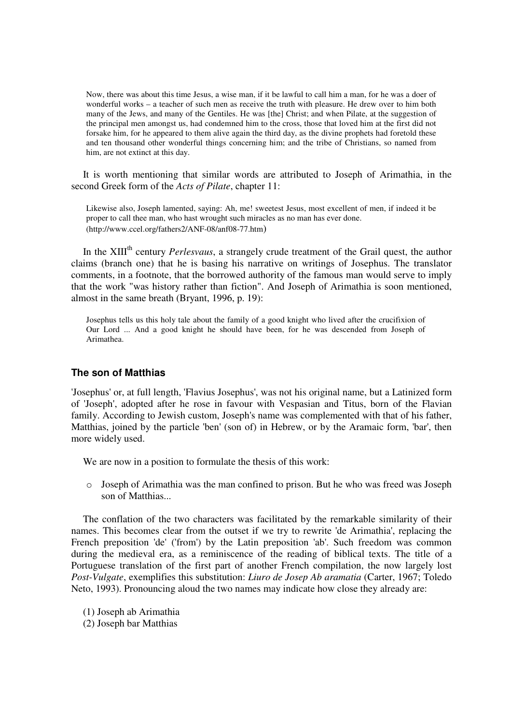Now, there was about this time Jesus, a wise man, if it be lawful to call him a man, for he was a doer of wonderful works – a teacher of such men as receive the truth with pleasure. He drew over to him both many of the Jews, and many of the Gentiles. He was [the] Christ; and when Pilate, at the suggestion of the principal men amongst us, had condemned him to the cross, those that loved him at the first did not forsake him, for he appeared to them alive again the third day, as the divine prophets had foretold these and ten thousand other wonderful things concerning him; and the tribe of Christians, so named from him, are not extinct at this day.

 It is worth mentioning that similar words are attributed to Joseph of Arimathia, in the second Greek form of the *Acts of Pilate*, chapter 11:

Likewise also, Joseph lamented, saying: Ah, me! sweetest Jesus, most excellent of men, if indeed it be proper to call thee man, who hast wrought such miracles as no man has ever done. (http://www.ccel.org/fathers2/ANF-08/anf08-77.htm)

In the XIII<sup>th</sup> century *Perlesvaus*, a strangely crude treatment of the Grail quest, the author claims (branch one) that he is basing his narrative on writings of Josephus. The translator comments, in a footnote, that the borrowed authority of the famous man would serve to imply that the work "was history rather than fiction". And Joseph of Arimathia is soon mentioned, almost in the same breath (Bryant, 1996, p. 19):

Josephus tells us this holy tale about the family of a good knight who lived after the crucifixion of Our Lord ... And a good knight he should have been, for he was descended from Joseph of Arimathea.

# **The son of Matthias**

'Josephus' or, at full length, 'Flavius Josephus', was not his original name, but a Latinized form of 'Joseph', adopted after he rose in favour with Vespasian and Titus, born of the Flavian family. According to Jewish custom, Joseph's name was complemented with that of his father, Matthias, joined by the particle 'ben' (son of) in Hebrew, or by the Aramaic form, 'bar', then more widely used.

We are now in a position to formulate the thesis of this work:

 $\circ$  Joseph of Arimathia was the man confined to prison. But he who was freed was Joseph son of Matthias...

 The conflation of the two characters was facilitated by the remarkable similarity of their names. This becomes clear from the outset if we try to rewrite 'de Arimathia', replacing the French preposition 'de' ('from') by the Latin preposition 'ab'. Such freedom was common during the medieval era, as a reminiscence of the reading of biblical texts. The title of a Portuguese translation of the first part of another French compilation, the now largely lost *Post-Vulgate*, exemplifies this substitution: *Liuro de Josep Ab aramatia* (Carter, 1967; Toledo Neto, 1993). Pronouncing aloud the two names may indicate how close they already are:

- (1) Joseph ab Arimathia
- (2) Joseph bar Matthias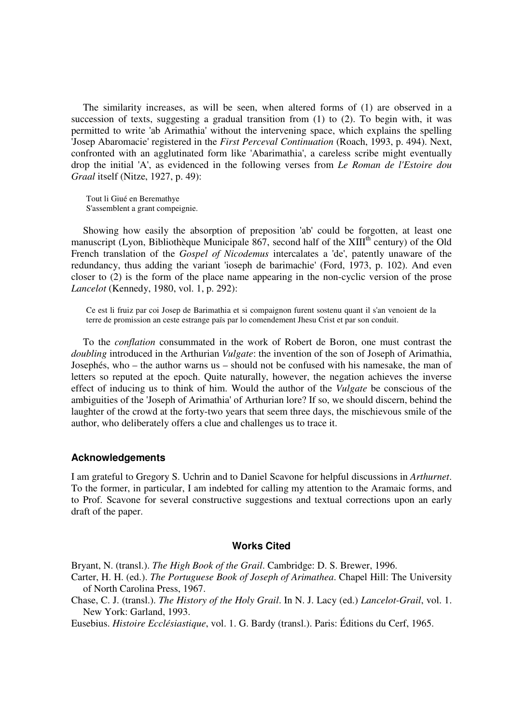The similarity increases, as will be seen, when altered forms of (1) are observed in a succession of texts, suggesting a gradual transition from (1) to (2). To begin with, it was permitted to write 'ab Arimathia' without the intervening space, which explains the spelling 'Josep Abaromacie' registered in the *First Perceval Continuation* (Roach, 1993, p. 494). Next, confronted with an agglutinated form like 'Abarimathia', a careless scribe might eventually drop the initial 'A', as evidenced in the following verses from *Le Roman de l'Estoire dou Graal* itself (Nitze, 1927, p. 49):

Tout li Giué en Beremathye S'assemblent a grant compeignie.

 Showing how easily the absorption of preposition 'ab' could be forgotten, at least one manuscript (Lyon, Bibliothèque Municipale 867, second half of the  $XIII<sup>th</sup>$  century) of the Old French translation of the *Gospel of Nicodemus* intercalates a 'de', patently unaware of the redundancy, thus adding the variant 'ioseph de barimachie' (Ford, 1973, p. 102). And even closer to (2) is the form of the place name appearing in the non-cyclic version of the prose *Lancelot* (Kennedy, 1980, vol. 1, p. 292):

Ce est li fruiz par coi Josep de Barimathia et si compaignon furent sostenu quant il s'an venoient de la terre de promission an ceste estrange païs par lo comendement Jhesu Crist et par son conduit.

 To the *conflation* consummated in the work of Robert de Boron, one must contrast the *doubling* introduced in the Arthurian *Vulgate*: the invention of the son of Joseph of Arimathia, Josephés, who – the author warns us – should not be confused with his namesake, the man of letters so reputed at the epoch. Quite naturally, however, the negation achieves the inverse effect of inducing us to think of him. Would the author of the *Vulgate* be conscious of the ambiguities of the 'Joseph of Arimathia' of Arthurian lore? If so, we should discern, behind the laughter of the crowd at the forty-two years that seem three days, the mischievous smile of the author, who deliberately offers a clue and challenges us to trace it.

#### **Acknowledgements**

I am grateful to Gregory S. Uchrin and to Daniel Scavone for helpful discussions in *Arthurnet*. To the former, in particular, I am indebted for calling my attention to the Aramaic forms, and to Prof. Scavone for several constructive suggestions and textual corrections upon an early draft of the paper.

#### **Works Cited**

Bryant, N. (transl.). *The High Book of the Grail*. Cambridge: D. S. Brewer, 1996.

Carter, H. H. (ed.). *The Portuguese Book of Joseph of Arimathea*. Chapel Hill: The University of North Carolina Press, 1967.

Chase, C. J. (transl.). *The History of the Holy Grail*. In N. J. Lacy (ed.) *Lancelot-Grail*, vol. 1. New York: Garland, 1993.

Eusebius. *Histoire Ecclésiastique*, vol. 1. G. Bardy (transl.). Paris: Éditions du Cerf, 1965.